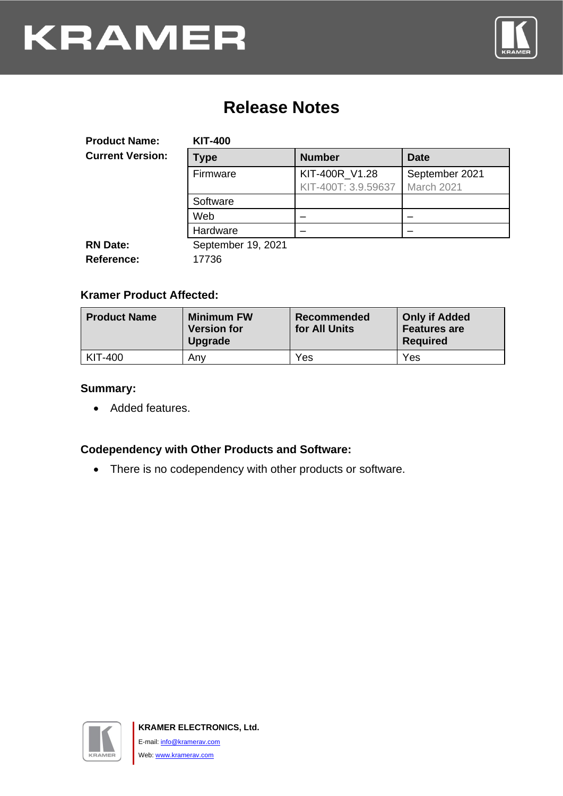

### **Release Notes**

<span id="page-0-0"></span>

| <b>Product Name:</b>    | <b>KIT-400</b>     |                     |                |
|-------------------------|--------------------|---------------------|----------------|
| <b>Current Version:</b> | <b>Type</b>        | <b>Number</b>       | <b>Date</b>    |
|                         | Firmware           | KIT-400R_V1.28      | September 2021 |
|                         |                    | KIT-400T: 3.9.59637 | March 2021     |
|                         | Software           |                     |                |
|                         | Web                |                     |                |
|                         | Hardware           |                     |                |
| <b>RN Date:</b>         | September 19, 2021 |                     |                |
| <b>Reference:</b>       | 17736              |                     |                |

#### **Kramer Product Affected:**

| <b>Product Name</b> | <b>Minimum FW</b><br><b>Version for</b><br><b>Upgrade</b> | Recommended<br>for All Units | <b>Only if Added</b><br><b>Features are</b><br><b>Required</b> |
|---------------------|-----------------------------------------------------------|------------------------------|----------------------------------------------------------------|
| KIT-400             | Anv                                                       | Yes                          | Yes                                                            |

#### **Summary:**

• Added features.

#### **Codependency with Other Products and Software:**

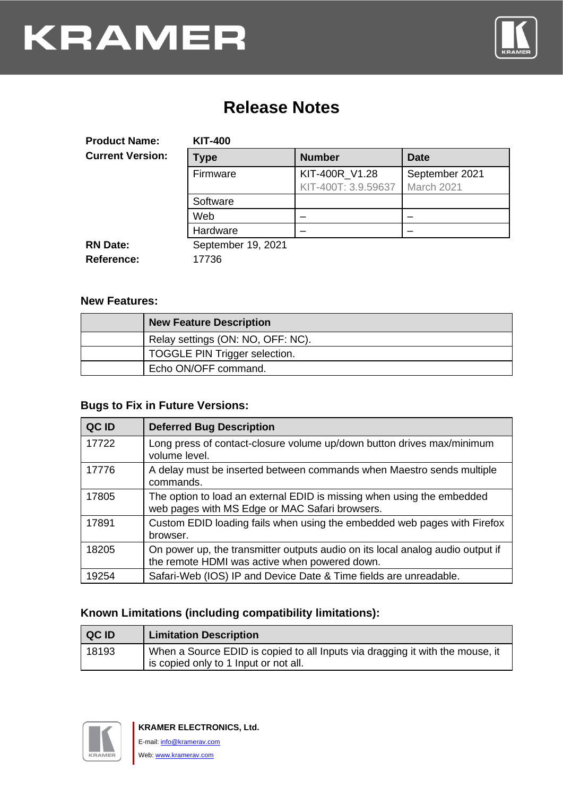

### **Release Notes**

| <b>Product Name:</b>    | <b>KIT-400</b>     |                     |                |
|-------------------------|--------------------|---------------------|----------------|
| <b>Current Version:</b> | Type               | <b>Number</b>       | <b>Date</b>    |
|                         | Firmware           | KIT-400R V1.28      | September 2021 |
|                         |                    | KIT-400T: 3.9.59637 | March 2021     |
|                         | Software           |                     |                |
|                         | Web                |                     |                |
|                         | Hardware           |                     |                |
| <b>RN Date:</b>         | September 19, 2021 |                     |                |
| <b>Reference:</b>       | 17736              |                     |                |

#### **New Features:**

| <b>New Feature Description</b>    |
|-----------------------------------|
| Relay settings (ON: NO, OFF: NC). |
| TOGGLE PIN Trigger selection.     |
| Echo ON/OFF command.              |

#### **Bugs to Fix in Future Versions:**

| QC ID | <b>Deferred Bug Description</b>                                                                                                 |
|-------|---------------------------------------------------------------------------------------------------------------------------------|
| 17722 | Long press of contact-closure volume up/down button drives max/minimum<br>volume level.                                         |
| 17776 | A delay must be inserted between commands when Maestro sends multiple<br>commands.                                              |
| 17805 | The option to load an external EDID is missing when using the embedded<br>web pages with MS Edge or MAC Safari browsers.        |
| 17891 | Custom EDID loading fails when using the embedded web pages with Firefox<br>browser.                                            |
| 18205 | On power up, the transmitter outputs audio on its local analog audio output if<br>the remote HDMI was active when powered down. |
| 19254 | Safari-Web (IOS) IP and Device Date & Time fields are unreadable.                                                               |

#### **Known Limitations (including compatibility limitations):**

| <b>QCID</b> | <b>Limitation Description</b>                                                                                          |
|-------------|------------------------------------------------------------------------------------------------------------------------|
| 18193       | When a Source EDID is copied to all Inputs via dragging it with the mouse, it<br>is copied only to 1 Input or not all. |

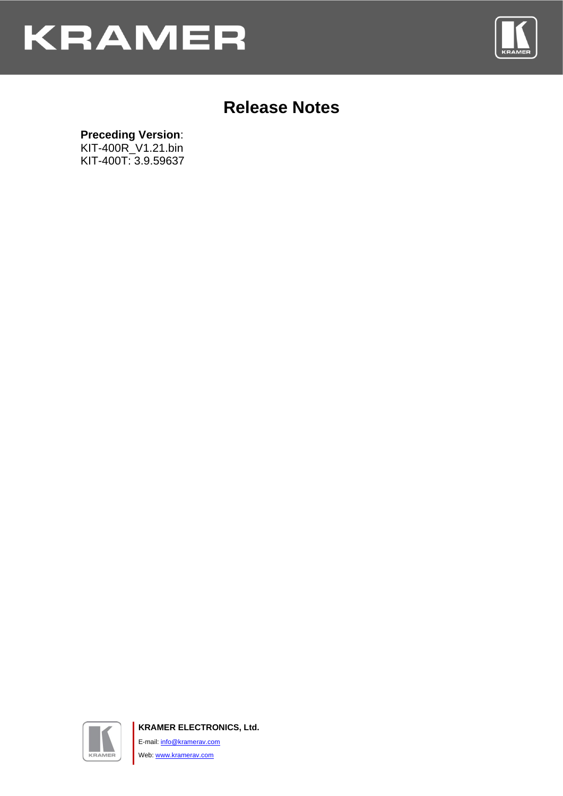



### **Release Notes**

#### **Preceding Version**:

KIT-400R\_V1.21.bin KIT-400T: 3.9.59637



**KRAMER ELECTRONICS, Ltd.** E-mail: *[info@kramerav.com](mailto:info@kramerav.com)* Web[: www.kramerav.com](http://www.kramerav.com/)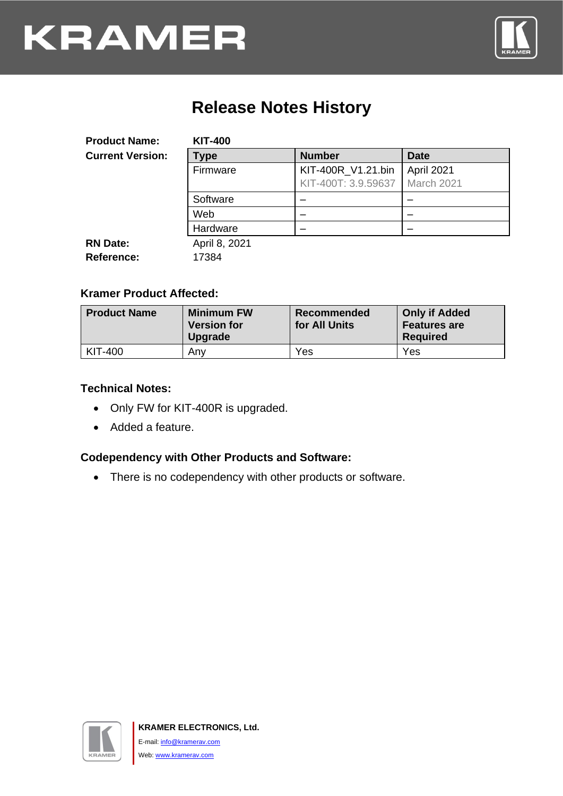

## **Release Notes History**

| <b>Product Name:</b>    | <b>KIT-400</b> |                     |             |
|-------------------------|----------------|---------------------|-------------|
| <b>Current Version:</b> | Type           | <b>Number</b>       | <b>Date</b> |
|                         | Firmware       | KIT-400R_V1.21.bin  | April 2021  |
|                         |                | KIT-400T: 3.9.59637 | March 2021  |
|                         | Software       |                     |             |
|                         | Web            |                     |             |
|                         | Hardware       |                     |             |
| <b>RN Date:</b>         | April 8, 2021  |                     |             |
| <b>Reference:</b>       | 17384          |                     |             |

#### **Kramer Product Affected:**

| <b>Product Name</b> | <b>Minimum FW</b><br><b>Version for</b><br><b>Upgrade</b> | Recommended<br>for All Units | <b>Only if Added</b><br><b>Features are</b><br><b>Required</b> |
|---------------------|-----------------------------------------------------------|------------------------------|----------------------------------------------------------------|
| KIT-400             | Anv                                                       | Yes                          | Yes                                                            |

#### **Technical Notes:**

- Only FW for KIT-400R is upgraded.
- Added a feature.

#### **Codependency with Other Products and Software:**

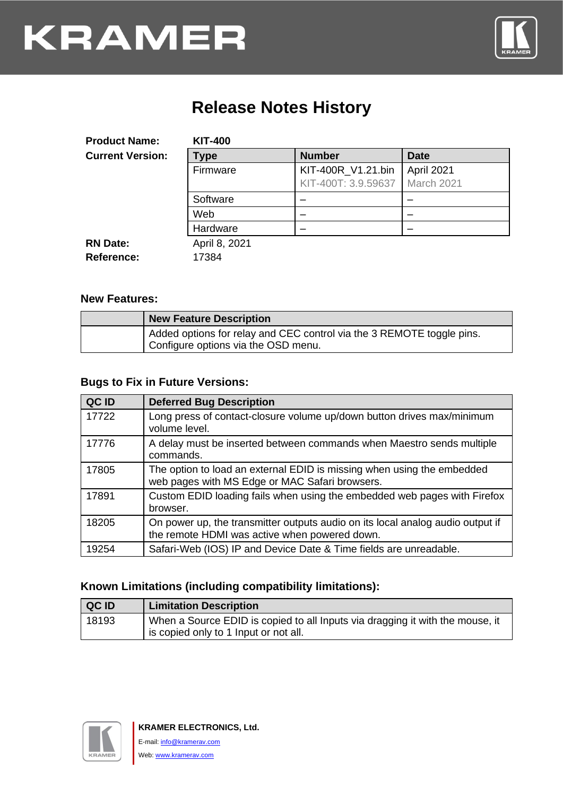

## **Release Notes History**

| <b>Product Name:</b>    | <b>KIT-400</b> |                     |             |
|-------------------------|----------------|---------------------|-------------|
| <b>Current Version:</b> | <b>Type</b>    | <b>Number</b>       | <b>Date</b> |
|                         | Firmware       | KIT-400R_V1.21.bin  | April 2021  |
|                         |                | KIT-400T: 3.9.59637 | March 2021  |
|                         | Software       |                     |             |
|                         | Web            |                     |             |
|                         | Hardware       |                     |             |
| <b>RN Date:</b>         | April 8, 2021  |                     |             |
| Reference:              | 17384          |                     |             |

#### **New Features:**

| <b>New Feature Description</b>                                                                               |
|--------------------------------------------------------------------------------------------------------------|
| Added options for relay and CEC control via the 3 REMOTE toggle pins.<br>Configure options via the OSD menu. |

#### **Bugs to Fix in Future Versions:**

| QC ID | <b>Deferred Bug Description</b>                                                                                                 |
|-------|---------------------------------------------------------------------------------------------------------------------------------|
| 17722 | Long press of contact-closure volume up/down button drives max/minimum<br>volume level.                                         |
| 17776 | A delay must be inserted between commands when Maestro sends multiple<br>commands.                                              |
| 17805 | The option to load an external EDID is missing when using the embedded<br>web pages with MS Edge or MAC Safari browsers.        |
| 17891 | Custom EDID loading fails when using the embedded web pages with Firefox<br>browser.                                            |
| 18205 | On power up, the transmitter outputs audio on its local analog audio output if<br>the remote HDMI was active when powered down. |
| 19254 | Safari-Web (IOS) IP and Device Date & Time fields are unreadable.                                                               |

#### **Known Limitations (including compatibility limitations):**

| QC ID | <b>Limitation Description</b>                                                                                          |
|-------|------------------------------------------------------------------------------------------------------------------------|
| 18193 | When a Source EDID is copied to all Inputs via dragging it with the mouse, it<br>is copied only to 1 Input or not all. |

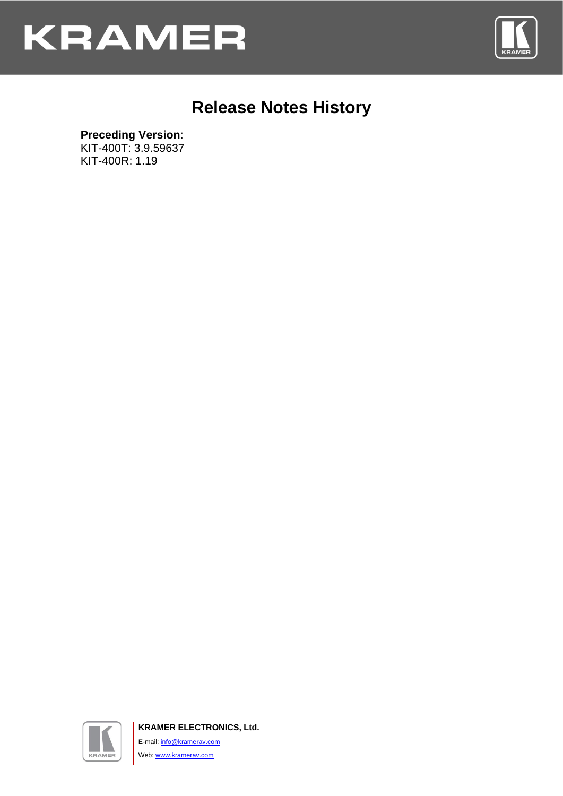



### **Release Notes History**

#### **Preceding Version**:

KIT-400T: 3.9.59637 KIT-400R: 1.19



**KRAMER ELECTRONICS, Ltd.** E-mail: *[info@kramerav.com](mailto:info@kramerav.com)* Web[: www.kramerav.com](http://www.kramerav.com/)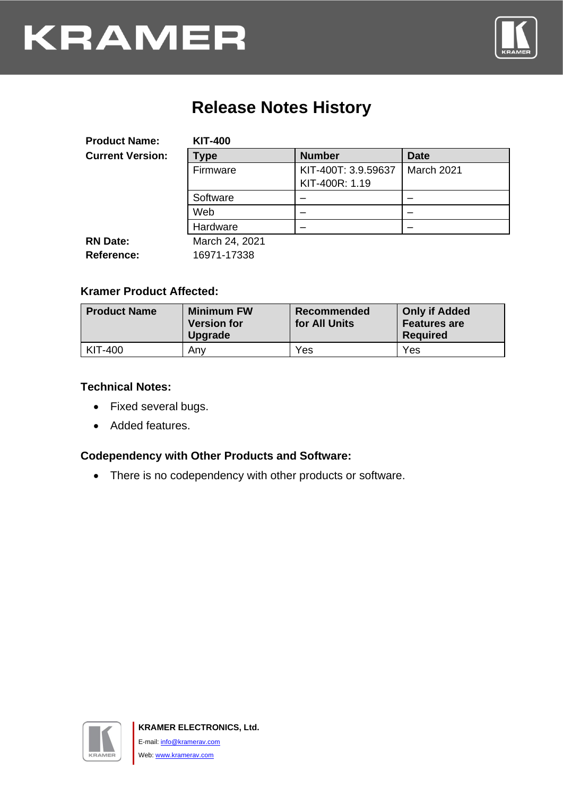

## **Release Notes History**

| <b>Product Name:</b>    | <b>KIT-400</b> |                                       |             |
|-------------------------|----------------|---------------------------------------|-------------|
| <b>Current Version:</b> | Type           | <b>Number</b>                         | <b>Date</b> |
|                         | Firmware       | KIT-400T: 3.9.59637<br>KIT-400R: 1.19 | March 2021  |
|                         | Software       |                                       |             |
|                         | Web            |                                       |             |
|                         | Hardware       |                                       |             |
| <b>RN Date:</b>         | March 24, 2021 |                                       |             |
| <b>Reference:</b>       | 16971-17338    |                                       |             |

#### **Kramer Product Affected:**

| <b>Product Name</b> | <b>Minimum FW</b><br><b>Version for</b><br>Upgrade | Recommended<br>for All Units | <b>Only if Added</b><br><b>Features are</b><br><b>Required</b> |
|---------------------|----------------------------------------------------|------------------------------|----------------------------------------------------------------|
| KIT-400             | Any                                                | Yes                          | Yes                                                            |

#### **Technical Notes:**

- Fixed several bugs.
- Added features.

### **Codependency with Other Products and Software:**

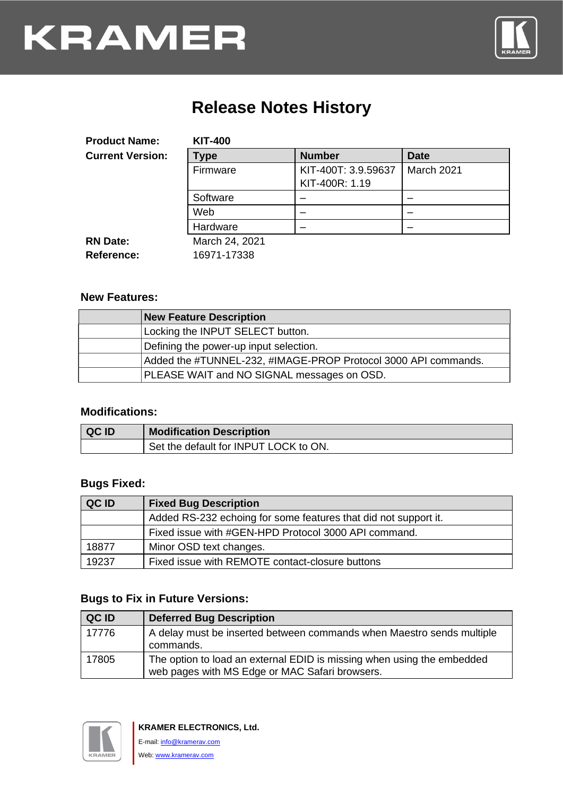

## **Release Notes History**

| <b>Product Name:</b>    | <b>KIT-400</b> |                                       |             |
|-------------------------|----------------|---------------------------------------|-------------|
| <b>Current Version:</b> | Type           | <b>Number</b>                         | <b>Date</b> |
|                         | Firmware       | KIT-400T: 3.9.59637<br>KIT-400R: 1.19 | March 2021  |
|                         | Software       |                                       |             |
|                         | Web            |                                       |             |
|                         | Hardware       |                                       |             |
| <b>RN Date:</b>         | March 24, 2021 |                                       |             |
| <b>Reference:</b>       | 16971-17338    |                                       |             |

#### **New Features:**

| <b>New Feature Description</b>                                 |
|----------------------------------------------------------------|
| Locking the INPUT SELECT button.                               |
| Defining the power-up input selection.                         |
| Added the #TUNNEL-232, #IMAGE-PROP Protocol 3000 API commands. |
| PLEASE WAIT and NO SIGNAL messages on OSD.                     |

#### **Modifications:**

| <b>QCID</b> | <b>Modification Description</b>       |
|-------------|---------------------------------------|
|             | Set the default for INPUT LOCK to ON. |

#### **Bugs Fixed:**

| QC ID | <b>Fixed Bug Description</b>                                    |
|-------|-----------------------------------------------------------------|
|       | Added RS-232 echoing for some features that did not support it. |
|       | Fixed issue with #GEN-HPD Protocol 3000 API command.            |
| 18877 | Minor OSD text changes.                                         |
| 19237 | Fixed issue with REMOTE contact-closure buttons                 |

#### **Bugs to Fix in Future Versions:**

| QC ID | <b>Deferred Bug Description</b>                                                                                          |
|-------|--------------------------------------------------------------------------------------------------------------------------|
| 17776 | A delay must be inserted between commands when Maestro sends multiple<br>commands.                                       |
| 17805 | The option to load an external EDID is missing when using the embedded<br>web pages with MS Edge or MAC Safari browsers. |

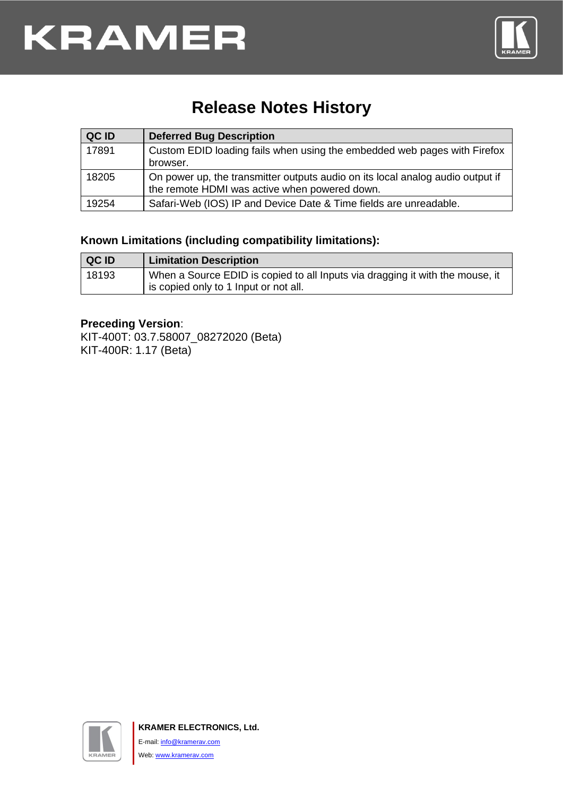

## **Release Notes History**

| QC ID | <b>Deferred Bug Description</b>                                                                                                 |
|-------|---------------------------------------------------------------------------------------------------------------------------------|
| 17891 | Custom EDID loading fails when using the embedded web pages with Firefox<br>browser.                                            |
| 18205 | On power up, the transmitter outputs audio on its local analog audio output if<br>the remote HDMI was active when powered down. |
| 19254 | Safari-Web (IOS) IP and Device Date & Time fields are unreadable.                                                               |

#### **Known Limitations (including compatibility limitations):**

| <b>QCID</b> | <b>Limitation Description</b>                                                                                          |
|-------------|------------------------------------------------------------------------------------------------------------------------|
| 18193       | When a Source EDID is copied to all Inputs via dragging it with the mouse, it<br>is copied only to 1 Input or not all. |

#### **Preceding Version**:

KIT-400T: 03.7.58007\_08272020 (Beta) KIT-400R: 1.17 (Beta)

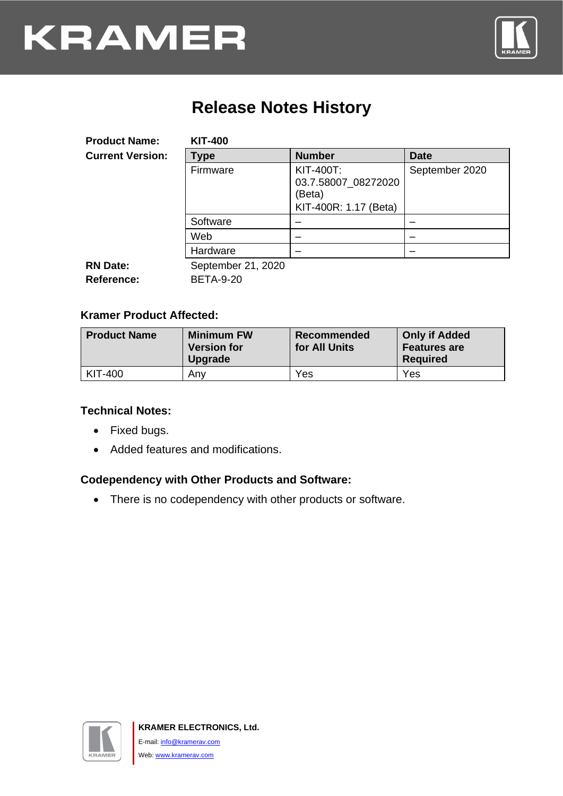

## **Release Notes History**

| <b>Product Name:</b>    | <b>KIT-400</b>     |                                                                            |                |
|-------------------------|--------------------|----------------------------------------------------------------------------|----------------|
| <b>Current Version:</b> | <b>Type</b>        | <b>Number</b>                                                              | <b>Date</b>    |
|                         | Firmware           | <b>KIT-400T:</b><br>03.7.58007_08272020<br>(Beta)<br>KIT-400R: 1.17 (Beta) | September 2020 |
|                         | Software           | –                                                                          |                |
|                         | Web                | –                                                                          |                |
|                         | Hardware           |                                                                            |                |
| <b>RN Date:</b>         | September 21, 2020 |                                                                            |                |
| <b>Reference:</b>       | <b>BETA-9-20</b>   |                                                                            |                |

#### **Kramer Product Affected:**

| <b>Product Name</b> | <b>Minimum FW</b><br><b>Version for</b><br><b>Upgrade</b> | Recommended<br>for All Units | <b>Only if Added</b><br><b>Features are</b><br><b>Required</b> |
|---------------------|-----------------------------------------------------------|------------------------------|----------------------------------------------------------------|
| $KIT-400$           | Any                                                       | Yes                          | Yes                                                            |

#### **Technical Notes:**

- Fixed bugs.
- Added features and modifications.

### **Codependency with Other Products and Software:**

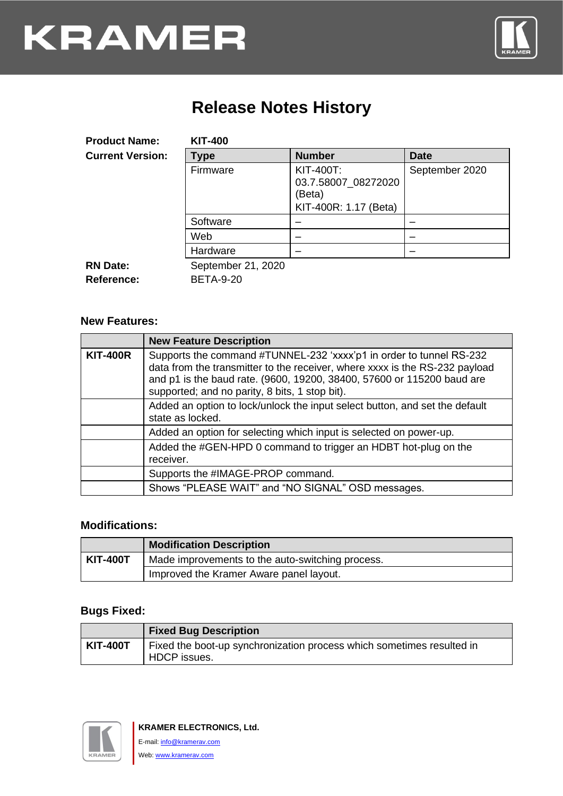

## **Release Notes History**

| <b>Product Name:</b>                 | <b>KIT-400</b>                         |                                                                            |                |
|--------------------------------------|----------------------------------------|----------------------------------------------------------------------------|----------------|
| <b>Current Version:</b>              | Type                                   | <b>Number</b>                                                              | <b>Date</b>    |
|                                      | Firmware                               | <b>KIT-400T:</b><br>03.7.58007_08272020<br>(Beta)<br>KIT-400R: 1.17 (Beta) | September 2020 |
|                                      | Software                               |                                                                            |                |
|                                      | Web                                    |                                                                            |                |
|                                      | Hardware                               |                                                                            |                |
| <b>RN Date:</b><br><b>Reference:</b> | September 21, 2020<br><b>BETA-9-20</b> |                                                                            |                |

#### **New Features:**

|                 | <b>New Feature Description</b>                                                                                                                                                                                                                                                 |
|-----------------|--------------------------------------------------------------------------------------------------------------------------------------------------------------------------------------------------------------------------------------------------------------------------------|
| <b>KIT-400R</b> | Supports the command #TUNNEL-232 'xxxx'p1 in order to tunnel RS-232<br>data from the transmitter to the receiver, where xxxx is the RS-232 payload<br>and p1 is the baud rate. (9600, 19200, 38400, 57600 or 115200 baud are<br>supported; and no parity, 8 bits, 1 stop bit). |
|                 | Added an option to lock/unlock the input select button, and set the default<br>state as locked.                                                                                                                                                                                |
|                 | Added an option for selecting which input is selected on power-up.                                                                                                                                                                                                             |
|                 | Added the #GEN-HPD 0 command to trigger an HDBT hot-plug on the<br>receiver.                                                                                                                                                                                                   |
|                 | Supports the #IMAGE-PROP command.                                                                                                                                                                                                                                              |
|                 | Shows "PLEASE WAIT" and "NO SIGNAL" OSD messages.                                                                                                                                                                                                                              |

#### **Modifications:**

|                 | <b>Modification Description</b>                  |  |
|-----------------|--------------------------------------------------|--|
| <b>KIT-400T</b> | Made improvements to the auto-switching process. |  |
|                 | Improved the Kramer Aware panel layout.          |  |

#### **Bugs Fixed:**

|                 | <b>Fixed Bug Description</b>                                                          |
|-----------------|---------------------------------------------------------------------------------------|
| <b>KIT-400T</b> | Fixed the boot-up synchronization process which sometimes resulted in<br>HDCP issues. |

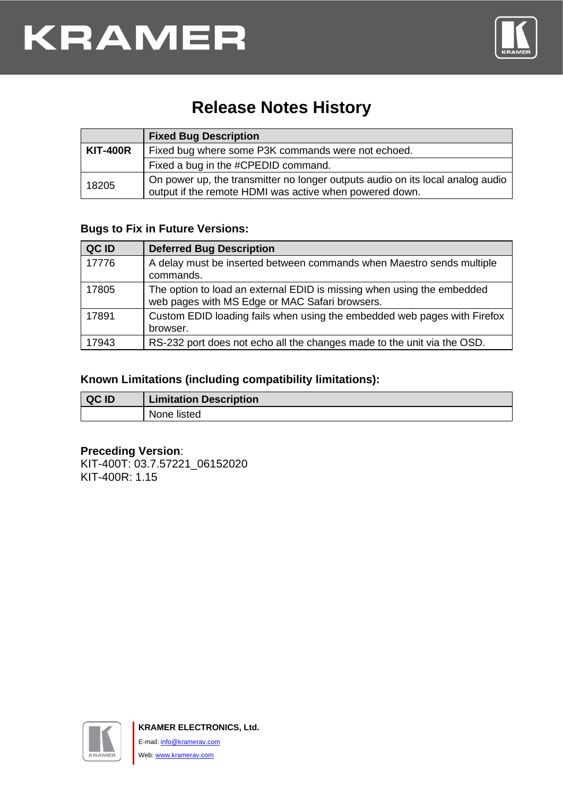

## **Release Notes History**

|                 | <b>Fixed Bug Description</b>                                                                                                              |  |  |
|-----------------|-------------------------------------------------------------------------------------------------------------------------------------------|--|--|
| <b>KIT-400R</b> | Fixed bug where some P3K commands were not echoed.                                                                                        |  |  |
|                 | Fixed a bug in the #CPEDID command.                                                                                                       |  |  |
| 18205           | On power up, the transmitter no longer outputs audio on its local analog audio<br>output if the remote HDMI was active when powered down. |  |  |

#### **Bugs to Fix in Future Versions:**

| QC ID | <b>Deferred Bug Description</b>                                                                                          |
|-------|--------------------------------------------------------------------------------------------------------------------------|
| 17776 | A delay must be inserted between commands when Maestro sends multiple<br>commands.                                       |
| 17805 | The option to load an external EDID is missing when using the embedded<br>web pages with MS Edge or MAC Safari browsers. |
| 17891 | Custom EDID loading fails when using the embedded web pages with Firefox<br>browser.                                     |
| 17943 | RS-232 port does not echo all the changes made to the unit via the OSD.                                                  |

#### **Known Limitations (including compatibility limitations):**

| QC ID | <b>Limitation Description</b> |  |
|-------|-------------------------------|--|
|       | None listed                   |  |

#### **Preceding Version**:

KIT-400T: 03.7.57221\_06152020 KIT-400R: 1.15

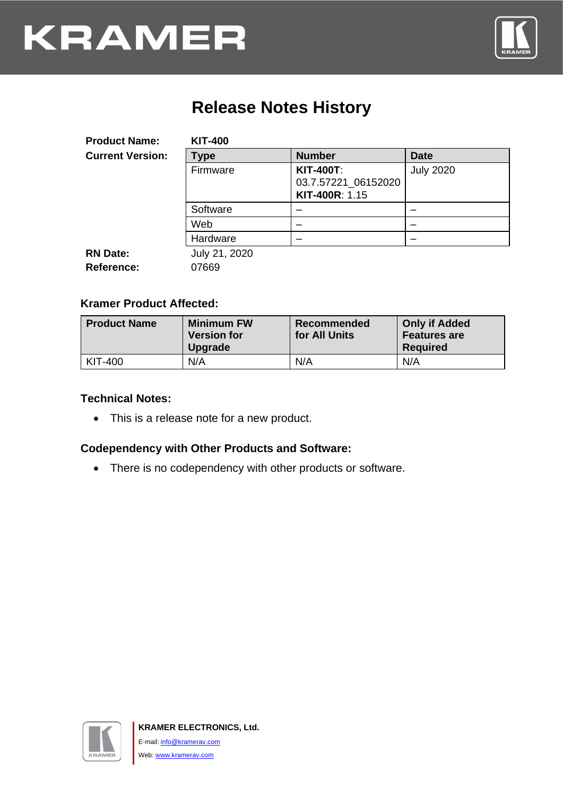

## **Release Notes History**

| <b>Product Name:</b>                 | <b>KIT-400</b>         |                                                           |                  |
|--------------------------------------|------------------------|-----------------------------------------------------------|------------------|
| <b>Current Version:</b>              | <b>Type</b>            | <b>Number</b>                                             | <b>Date</b>      |
|                                      | Firmware               | <b>KIT-400T:</b><br>03.7.57221_06152020<br>KIT-400R: 1.15 | <b>July 2020</b> |
|                                      | Software               |                                                           |                  |
|                                      | Web                    |                                                           |                  |
|                                      | Hardware               |                                                           |                  |
| <b>RN Date:</b><br><b>Reference:</b> | July 21, 2020<br>07669 |                                                           |                  |

#### **Kramer Product Affected:**

| <b>Product Name</b> | <b>Minimum FW</b><br><b>Version for</b><br><b>Upgrade</b> | Recommended<br>for All Units | <b>Only if Added</b><br><b>Features are</b><br><b>Required</b> |
|---------------------|-----------------------------------------------------------|------------------------------|----------------------------------------------------------------|
| KIT-400             | N/A                                                       | N/A                          | N/A                                                            |

#### **Technical Notes:**

• This is a release note for a new product.

#### **Codependency with Other Products and Software:**